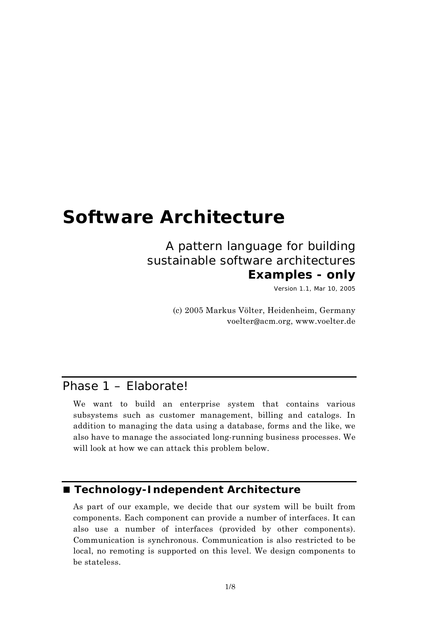# **Software Architecture**

# A pattern language for building sustainable software architectures **Examples - only**

Version 1.1, Mar 10, 2005

(c) 2005 Markus Völter, Heidenheim, Germany voelter@acm.org, www.voelter.de

## Phase 1 – Elaborate!

We want to build an enterprise system that contains various subsystems such as customer management, billing and catalogs. In addition to managing the data using a database, forms and the like, we also have to manage the associated long-running business processes. We will look at how we can attack this problem below.

#### ■ Technology-Independent Architecture

As part of our example, we decide that our system will be built from components. Each component can provide a number of interfaces. It can also use a number of interfaces (provided by other components). Communication is synchronous. Communication is also restricted to be local, no remoting is supported on this level. We design components to be stateless.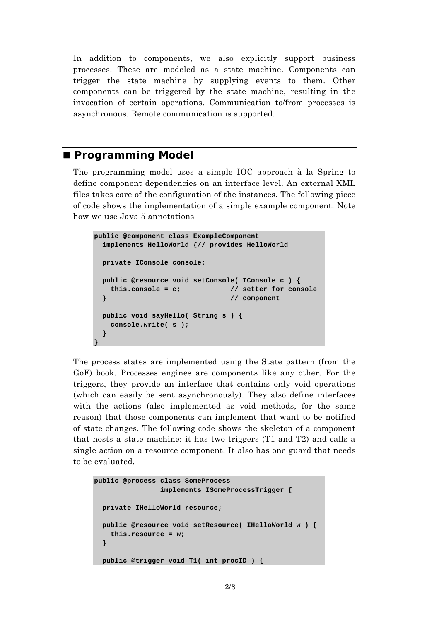In addition to components, we also explicitly support business processes. These are modeled as a state machine. Components can trigger the state machine by supplying events to them. Other components can be triggered by the state machine, resulting in the invocation of certain operations. Communication to/from processes is asynchronous. Remote communication is supported.

#### **Programming Model**

The programming model uses a simple IOC approach à la Spring to define component dependencies on an interface level. An external XML files takes care of the configuration of the instances. The following piece of code shows the implementation of a simple example component. Note how we use Java 5 annotations

```
public @component class ExampleComponent 
   implements HelloWorld {// provides HelloWorld 
  private IConsole console; 
  public @resource void setConsole( IConsole c ) { 
    this.console = c; // setter for console 
  } // component 
  public void sayHello( String s ) { 
    console.write( s ); 
  } 
}
```
The process states are implemented using the State pattern (from the GoF) book. Processes engines are components like any other. For the triggers, they provide an interface that contains only void operations (which can easily be sent asynchronously). They also define interfaces with the actions (also implemented as void methods, for the same reason) that those components can implement that want to be notified of state changes. The following code shows the skeleton of a component that hosts a state machine; it has two triggers (T1 and T2) and calls a single action on a resource component. It also has one guard that needs to be evaluated.

```
public @process class SomeProcess 
                  implements ISomeProcessTrigger { 
   private IHelloWorld resource; 
   public @resource void setResource( IHelloWorld w ) { 
     this.resource = w; 
   } 
   public @trigger void T1( int procID ) {
```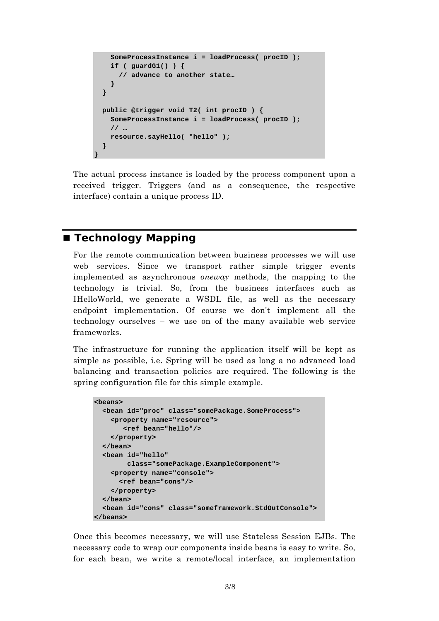```
 SomeProcessInstance i = loadProcess( procID ); 
     if ( guardG1() ) { 
       // advance to another state… 
     } 
   } 
   public @trigger void T2( int procID ) { 
     SomeProcessInstance i = loadProcess( procID ); 
     // … 
     resource.sayHello( "hello" ); 
   } 
}
```
The actual process instance is loaded by the process component upon a received trigger. Triggers (and as a consequence, the respective interface) contain a unique process ID.

#### **Technology Mapping**

For the remote communication between business processes we will use web services. Since we transport rather simple trigger events implemented as asynchronous *oneway* methods, the mapping to the technology is trivial. So, from the business interfaces such as IHelloWorld, we generate a WSDL file, as well as the necessary endpoint implementation. Of course we don't implement all the technology ourselves – we use on of the many available web service frameworks.

The infrastructure for running the application itself will be kept as simple as possible, i.e. Spring will be used as long a no advanced load balancing and transaction policies are required. The following is the spring configuration file for this simple example.

```
<beans> 
   <bean id="proc" class="somePackage.SomeProcess"> 
     <property name="resource"> 
        <ref bean="hello"/> 
     </property> 
   </bean> 
   <bean id="hello" 
         class="somePackage.ExampleComponent"> 
     <property name="console"> 
       <ref bean="cons"/> 
     </property> 
   </bean> 
   <bean id="cons" class="someframework.StdOutConsole"> 
</beans>
```
Once this becomes necessary, we will use Stateless Session EJBs. The necessary code to wrap our components inside beans is easy to write. So, for each bean, we write a remote/local interface, an implementation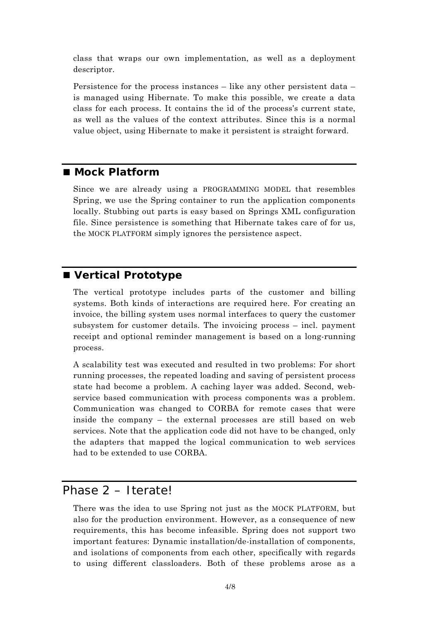class that wraps our own implementation, as well as a deployment descriptor.

Persistence for the process instances – like any other persistent data – is managed using Hibernate. To make this possible, we create a data class for each process. It contains the id of the process's current state, as well as the values of the context attributes. Since this is a normal value object, using Hibernate to make it persistent is straight forward.

#### ■ Mock Platform

Since we are already using a PROGRAMMING MODEL that resembles Spring, we use the Spring container to run the application components locally. Stubbing out parts is easy based on Springs XML configuration file. Since persistence is something that Hibernate takes care of for us, the MOCK PLATFORM simply ignores the persistence aspect.

#### **Vertical Prototype**

The vertical prototype includes parts of the customer and billing systems. Both kinds of interactions are required here. For creating an invoice, the billing system uses normal interfaces to query the customer subsystem for customer details. The invoicing process – incl. payment receipt and optional reminder management is based on a long-running process.

A scalability test was executed and resulted in two problems: For short running processes, the repeated loading and saving of persistent process state had become a problem. A caching layer was added. Second, webservice based communication with process components was a problem. Communication was changed to CORBA for remote cases that were inside the company – the external processes are still based on web services. Note that the application code did not have to be changed, only the adapters that mapped the logical communication to web services had to be extended to use CORBA.

### Phase 2 – Iterate!

There was the idea to use Spring not just as the MOCK PLATFORM, but also for the production environment. However, as a consequence of new requirements, this has become infeasible. Spring does not support two important features: Dynamic installation/de-installation of components, and isolations of components from each other, specifically with regards to using different classloaders. Both of these problems arose as a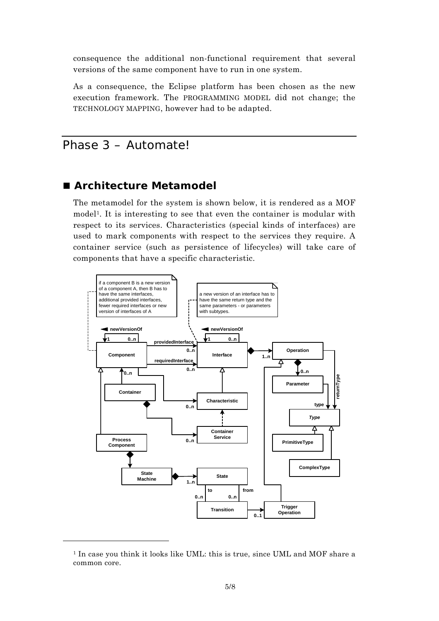consequence the additional non-functional requirement that several versions of the same component have to run in one system.

As a consequence, the Eclipse platform has been chosen as the new execution framework. The PROGRAMMING MODEL did not change; the TECHNOLOGY MAPPING, however had to be adapted.

# Phase 3 – Automate!

#### ■ Architecture Metamodel

The metamodel for the system is shown below, it is rendered as a MOF model1. It is interesting to see that even the container is modular with respect to its services. Characteristics (special kinds of interfaces) are used to mark components with respect to the services they require. A container service (such as persistence of lifecycles) will take care of components that have a specific characteristic.



<sup>1</sup> In case you think it looks like UML: this is true, since UML and MOF share a common core.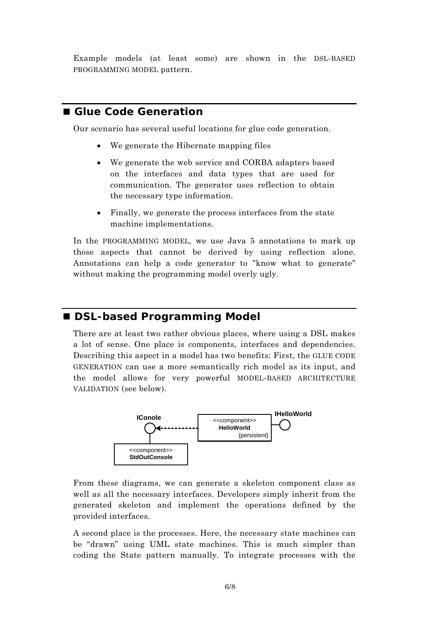Example models (at least some) are shown in the DSL-BASED PROGRAMMING MODEL pattern.

### ■ Glue Code Generation

Our scenario has several useful locations for glue code generation.

- We generate the Hibernate mapping files
- We generate the web service and CORBA adapters based on the interfaces and data types that are used for communication. The generator uses reflection to obtain the necessary type information.
- Finally, we generate the process interfaces from the state machine implementations.

In the PROGRAMMING MODEL, we use Java 5 annotations to mark up those aspects that cannot be derived by using reflection alone. Annotations can help a code generator to "know what to generate" without making the programming model overly ugly.

#### ■ DSL-based Programming Model

There are at least two rather obvious places, where using a DSL makes a lot of sense. One place is components, interfaces and dependencies. Describing this aspect in a model has two benefits: First, the GLUE CODE GENERATION can use a more semantically rich model as its input, and the model allows for very powerful MODEL-BASED ARCHITECTURE VALIDATION (see below).



From these diagrams, we can generate a skeleton component class as well as all the necessary interfaces. Developers simply inherit from the generated skeleton and implement the operations defined by the provided interfaces.

A second place is the processes. Here, the necessary state machines can be "drawn" using UML state machines. This is much simpler than coding the State pattern manually. To integrate processes with the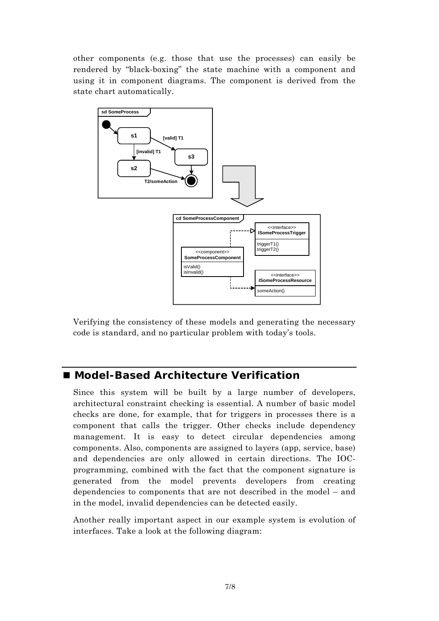other components (e.g. those that use the processes) can easily be rendered by "black-boxing" the state machine with a component and using it in component diagrams. The component is derived from the state chart automatically.



Verifying the consistency of these models and generating the necessary code is standard, and no particular problem with today's tools.

### ■ Model-Based Architecture Verification

Since this system will be built by a large number of developers, architectural constraint checking is essential. A number of basic model checks are done, for example, that for triggers in processes there is a component that calls the trigger. Other checks include dependency management. It is easy to detect circular dependencies among components. Also, components are assigned to layers (app, service, base) and dependencies are only allowed in certain directions. The IOCprogramming, combined with the fact that the component signature is generated from the model prevents developers from creating dependencies to components that are not described in the model – and in the model, invalid dependencies can be detected easily.

Another really important aspect in our example system is evolution of interfaces. Take a look at the following diagram: